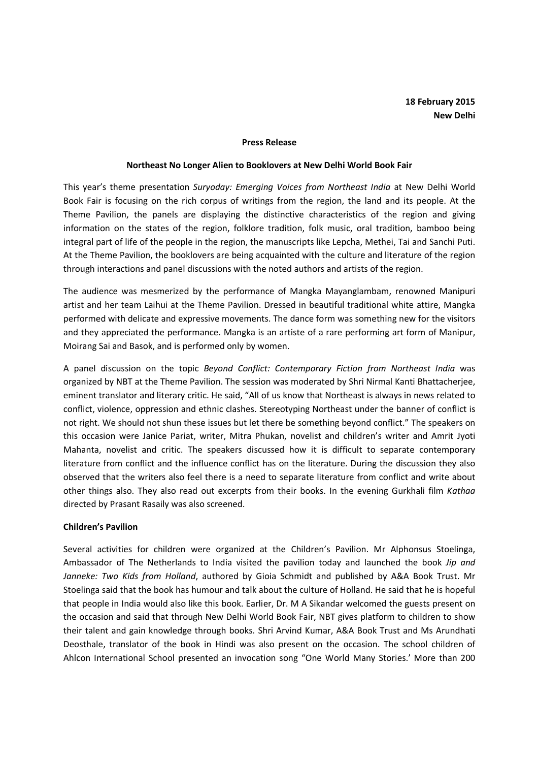#### Press Release

### Northeast No Longer Alien to Booklovers at New Delhi World Book Fair

This year's theme presentation Suryoday: Emerging Voices from Northeast India at New Delhi World Book Fair is focusing on the rich corpus of writings from the region, the land and its people. At the Theme Pavilion, the panels are displaying the distinctive characteristics of the region and giving information on the states of the region, folklore tradition, folk music, oral tradition, bamboo being integral part of life of the people in the region, the manuscripts like Lepcha, Methei, Tai and Sanchi Puti. At the Theme Pavilion, the booklovers are being acquainted with the culture and literature of the region through interactions and panel discussions with the noted authors and artists of the region.

The audience was mesmerized by the performance of Mangka Mayanglambam, renowned Manipuri artist and her team Laihui at the Theme Pavilion. Dressed in beautiful traditional white attire, Mangka performed with delicate and expressive movements. The dance form was something new for the visitors and they appreciated the performance. Mangka is an artiste of a rare performing art form of Manipur, Moirang Sai and Basok, and is performed only by women.

A panel discussion on the topic Beyond Conflict: Contemporary Fiction from Northeast India was organized by NBT at the Theme Pavilion. The session was moderated by Shri Nirmal Kanti Bhattacherjee, eminent translator and literary critic. He said, "All of us know that Northeast is always in news related to conflict, violence, oppression and ethnic clashes. Stereotyping Northeast under the banner of conflict is not right. We should not shun these issues but let there be something beyond conflict." The speakers on this occasion were Janice Pariat, writer, Mitra Phukan, novelist and children's writer and Amrit Jyoti Mahanta, novelist and critic. The speakers discussed how it is difficult to separate contemporary literature from conflict and the influence conflict has on the literature. During the discussion they also observed that the writers also feel there is a need to separate literature from conflict and write about other things also. They also read out excerpts from their books. In the evening Gurkhali film Kathaa directed by Prasant Rasaily was also screened.

## Children's Pavilion

Several activities for children were organized at the Children's Pavilion. Mr Alphonsus Stoelinga, Ambassador of The Netherlands to India visited the pavilion today and launched the book Jip and Janneke: Two Kids from Holland, authored by Gioia Schmidt and published by A&A Book Trust. Mr Stoelinga said that the book has humour and talk about the culture of Holland. He said that he is hopeful that people in India would also like this book. Earlier, Dr. M A Sikandar welcomed the guests present on the occasion and said that through New Delhi World Book Fair, NBT gives platform to children to show their talent and gain knowledge through books. Shri Arvind Kumar, A&A Book Trust and Ms Arundhati Deosthale, translator of the book in Hindi was also present on the occasion. The school children of Ahlcon International School presented an invocation song "One World Many Stories.' More than 200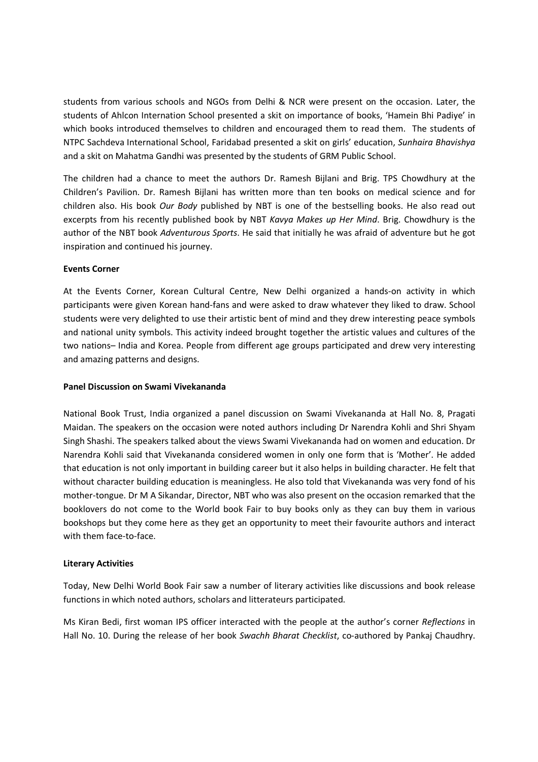students from various schools and NGOs from Delhi & NCR were present on the occasion. Later, the students of Ahlcon Internation School presented a skit on importance of books, 'Hamein Bhi Padiye' in which books introduced themselves to children and encouraged them to read them. The students of NTPC Sachdeva International School, Faridabad presented a skit on girls' education, Sunhaira Bhavishya and a skit on Mahatma Gandhi was presented by the students of GRM Public School.

The children had a chance to meet the authors Dr. Ramesh Bijlani and Brig. TPS Chowdhury at the Children's Pavilion. Dr. Ramesh Bijlani has written more than ten books on medical science and for children also. His book Our Body published by NBT is one of the bestselling books. He also read out excerpts from his recently published book by NBT Kavya Makes up Her Mind. Brig. Chowdhury is the author of the NBT book Adventurous Sports. He said that initially he was afraid of adventure but he got inspiration and continued his journey.

# Events Corner

At the Events Corner, Korean Cultural Centre, New Delhi organized a hands-on activity in which participants were given Korean hand-fans and were asked to draw whatever they liked to draw. School students were very delighted to use their artistic bent of mind and they drew interesting peace symbols and national unity symbols. This activity indeed brought together the artistic values and cultures of the two nations– India and Korea. People from different age groups participated and drew very interesting and amazing patterns and designs.

# Panel Discussion on Swami Vivekananda

National Book Trust, India organized a panel discussion on Swami Vivekananda at Hall No. 8, Pragati Maidan. The speakers on the occasion were noted authors including Dr Narendra Kohli and Shri Shyam Singh Shashi. The speakers talked about the views Swami Vivekananda had on women and education. Dr Narendra Kohli said that Vivekananda considered women in only one form that is 'Mother'. He added that education is not only important in building career but it also helps in building character. He felt that without character building education is meaningless. He also told that Vivekananda was very fond of his mother-tongue. Dr M A Sikandar, Director, NBT who was also present on the occasion remarked that the booklovers do not come to the World book Fair to buy books only as they can buy them in various bookshops but they come here as they get an opportunity to meet their favourite authors and interact with them face-to-face.

## Literary Activities

Today, New Delhi World Book Fair saw a number of literary activities like discussions and book release functions in which noted authors, scholars and litterateurs participated.

Ms Kiran Bedi, first woman IPS officer interacted with the people at the author's corner Reflections in Hall No. 10. During the release of her book Swachh Bharat Checklist, co-authored by Pankaj Chaudhry.